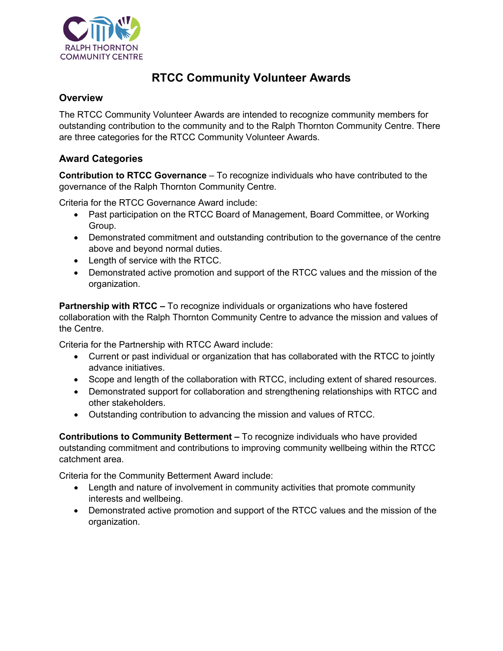

# **RTCC Community Volunteer Awards**

### **Overview**

The RTCC Community Volunteer Awards are intended to recognize community members for outstanding contribution to the community and to the Ralph Thornton Community Centre. There are three categories for the RTCC Community Volunteer Awards.

### **Award Categories**

**Contribution to RTCC Governance** – To recognize individuals who have contributed to the governance of the Ralph Thornton Community Centre.

Criteria for the RTCC Governance Award include:

- Past participation on the RTCC Board of Management, Board Committee, or Working Group.
- Demonstrated commitment and outstanding contribution to the governance of the centre above and beyond normal duties.
- Length of service with the RTCC.
- Demonstrated active promotion and support of the RTCC values and the mission of the organization.

**Partnership with RTCC** *–* To recognize individuals or organizations who have fostered collaboration with the Ralph Thornton Community Centre to advance the mission and values of the Centre.

Criteria for the Partnership with RTCC Award include:

- Current or past individual or organization that has collaborated with the RTCC to jointly advance initiatives.
- Scope and length of the collaboration with RTCC, including extent of shared resources.
- Demonstrated support for collaboration and strengthening relationships with RTCC and other stakeholders.
- Outstanding contribution to advancing the mission and values of RTCC.

**Contributions to Community Betterment** *–* To recognize individuals who have provided outstanding commitment and contributions to improving community wellbeing within the RTCC catchment area.

Criteria for the Community Betterment Award include:

- Length and nature of involvement in community activities that promote community interests and wellbeing.
- Demonstrated active promotion and support of the RTCC values and the mission of the organization.